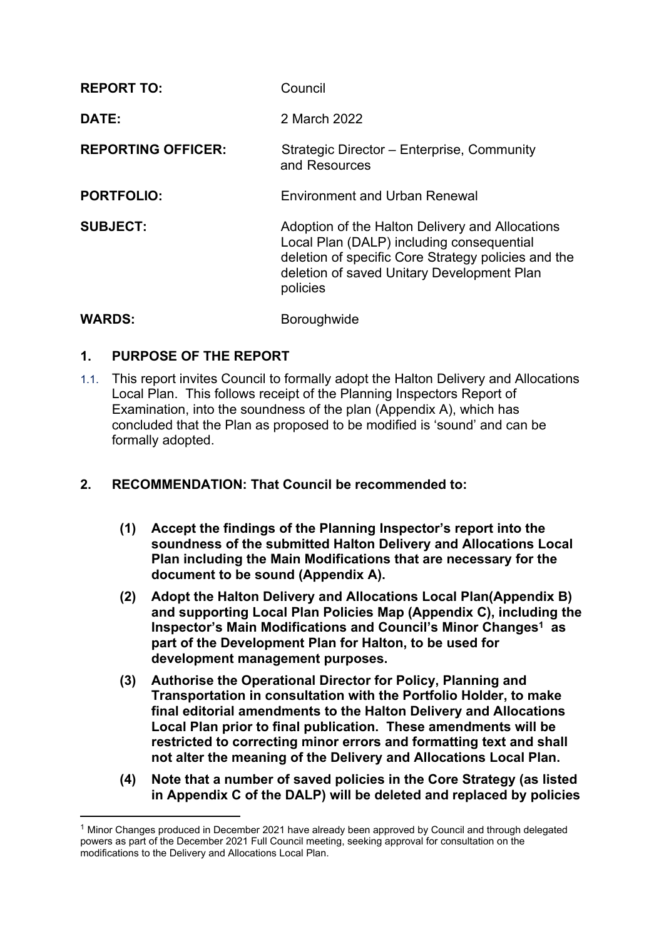| <b>REPORT TO:</b>         | Council                                                                                                                                                                                                       |
|---------------------------|---------------------------------------------------------------------------------------------------------------------------------------------------------------------------------------------------------------|
| DATE:                     | 2 March 2022                                                                                                                                                                                                  |
| <b>REPORTING OFFICER:</b> | Strategic Director - Enterprise, Community<br>and Resources                                                                                                                                                   |
| <b>PORTFOLIO:</b>         | <b>Environment and Urban Renewal</b>                                                                                                                                                                          |
| <b>SUBJECT:</b>           | Adoption of the Halton Delivery and Allocations<br>Local Plan (DALP) including consequential<br>deletion of specific Core Strategy policies and the<br>deletion of saved Unitary Development Plan<br>policies |
| <b>WARDS:</b>             | <b>Boroughwide</b>                                                                                                                                                                                            |

# **1. PURPOSE OF THE REPORT**

- 1.1. This report invites Council to formally adopt the Halton Delivery and Allocations Local Plan. This follows receipt of the Planning Inspectors Report of Examination, into the soundness of the plan (Appendix A), which has concluded that the Plan as proposed to be modified is 'sound' and can be formally adopted.
- **2. RECOMMENDATION: That Council be recommended to:**
	- **(1) Accept the findings of the Planning Inspector's report into the soundness of the submitted Halton Delivery and Allocations Local Plan including the Main Modifications that are necessary for the document to be sound (Appendix A).**
	- **(2) Adopt the Halton Delivery and Allocations Local Plan(Appendix B) and supporting Local Plan Policies Map (Appendix C), including the Inspector's Main Modifications and Council's Minor Changes<sup>1</sup> as part of the Development Plan for Halton, to be used for development management purposes.**
	- **(3) Authorise the Operational Director for Policy, Planning and Transportation in consultation with the Portfolio Holder, to make final editorial amendments to the Halton Delivery and Allocations Local Plan prior to final publication. These amendments will be restricted to correcting minor errors and formatting text and shall not alter the meaning of the Delivery and Allocations Local Plan.**
	- **(4) Note that a number of saved policies in the Core Strategy (as listed in Appendix C of the DALP) will be deleted and replaced by policies**

<sup>1</sup> Minor Changes produced in December 2021 have already been approved by Council and through delegated powers as part of the December 2021 Full Council meeting, seeking approval for consultation on the modifications to the Delivery and Allocations Local Plan.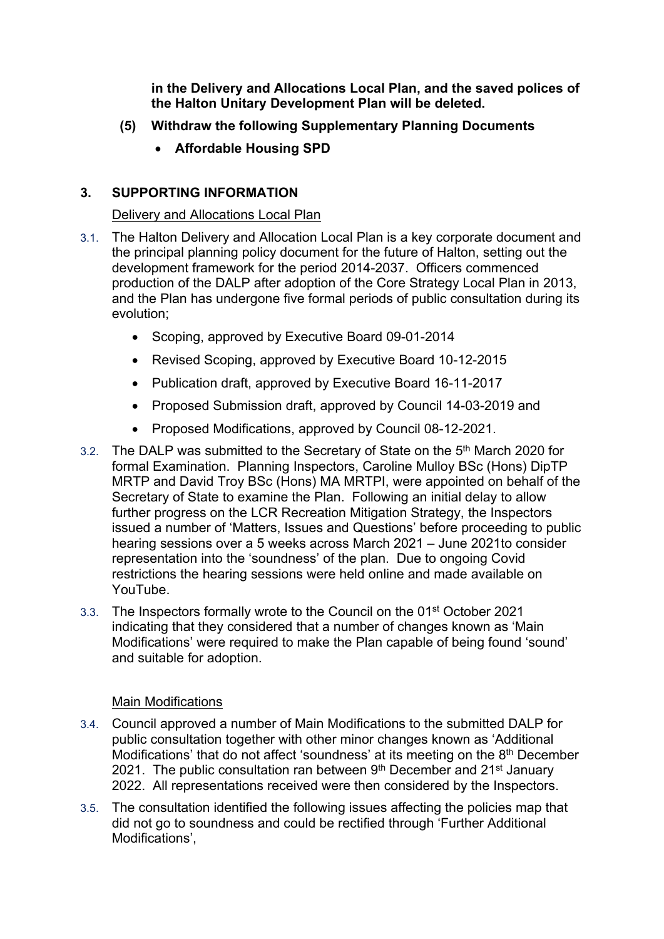**in the Delivery and Allocations Local Plan, and the saved polices of the Halton Unitary Development Plan will be deleted.**

- **(5) Withdraw the following Supplementary Planning Documents**
	- **Affordable Housing SPD**

### **3. SUPPORTING INFORMATION**

### Delivery and Allocations Local Plan

- 3.1. The Halton Delivery and Allocation Local Plan is a key corporate document and the principal planning policy document for the future of Halton, setting out the development framework for the period 2014-2037. Officers commenced production of the DALP after adoption of the Core Strategy Local Plan in 2013, and the Plan has undergone five formal periods of public consultation during its evolution;
	- Scoping, approved by Executive Board 09-01-2014
	- Revised Scoping, approved by Executive Board 10-12-2015
	- Publication draft, approved by Executive Board 16-11-2017
	- Proposed Submission draft, approved by Council 14-03-2019 and
	- Proposed Modifications, approved by Council 08-12-2021.
- 3.2. The DALP was submitted to the Secretary of State on the 5<sup>th</sup> March 2020 for formal Examination. Planning Inspectors, Caroline Mulloy BSc (Hons) DipTP MRTP and David Troy BSc (Hons) MA MRTPI, were appointed on behalf of the Secretary of State to examine the Plan. Following an initial delay to allow further progress on the LCR Recreation Mitigation Strategy, the Inspectors issued a number of 'Matters, Issues and Questions' before proceeding to public hearing sessions over a 5 weeks across March 2021 – June 2021to consider representation into the 'soundness' of the plan. Due to ongoing Covid restrictions the hearing sessions were held online and made available on YouTube.
- 3.3. The Inspectors formally wrote to the Council on the 01<sup>st</sup> October 2021 indicating that they considered that a number of changes known as 'Main Modifications' were required to make the Plan capable of being found 'sound' and suitable for adoption.

### Main Modifications

- 3.4. Council approved a number of Main Modifications to the submitted DALP for public consultation together with other minor changes known as 'Additional Modifications' that do not affect 'soundness' at its meeting on the 8<sup>th</sup> December 2021. The public consultation ran between 9<sup>th</sup> December and 21<sup>st</sup> January 2022. All representations received were then considered by the Inspectors.
- 3.5. The consultation identified the following issues affecting the policies map that did not go to soundness and could be rectified through 'Further Additional Modifications',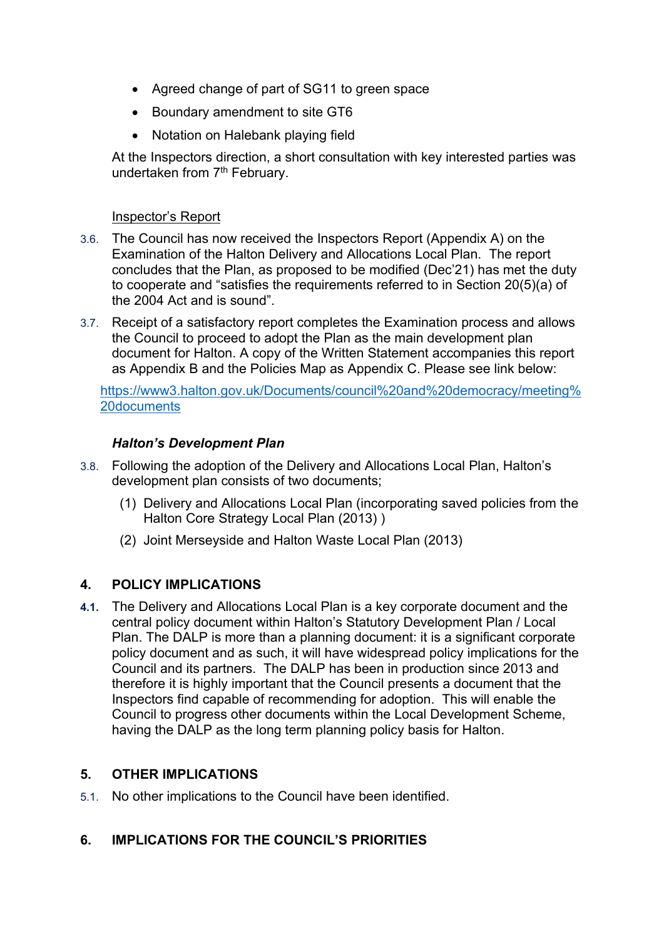- Agreed change of part of SG11 to green space
- Boundary amendment to site GT6
- Notation on Halebank playing field

At the Inspectors direction, a short consultation with key interested parties was undertaken from 7<sup>th</sup> February.

#### Inspector's Report

- 3.6. The Council has now received the Inspectors Report (Appendix A) on the Examination of the Halton Delivery and Allocations Local Plan. The report concludes that the Plan, as proposed to be modified (Dec'21) has met the duty to cooperate and "satisfies the requirements referred to in Section 20(5)(a) of the 2004 Act and is sound".
- 3.7. Receipt of a satisfactory report completes the Examination process and allows the Council to proceed to adopt the Plan as the main development plan document for Halton. A copy of the Written Statement accompanies this report as Appendix B and the Policies Map as Appendix C. Please see link below:

[https://www3.halton.gov.uk/Documents/council%20and%20democracy/meeting%](https://www3.halton.gov.uk/Documents/council%20and%20democracy/meeting%20documents) [20documents](https://www3.halton.gov.uk/Documents/council%20and%20democracy/meeting%20documents)

### *Halton's Development Plan*

- 3.8. Following the adoption of the Delivery and Allocations Local Plan, Halton's development plan consists of two documents;
	- (1) Delivery and Allocations Local Plan (incorporating saved policies from the Halton Core Strategy Local Plan (2013) )
	- (2) Joint Merseyside and Halton Waste Local Plan (2013)

### **4. POLICY IMPLICATIONS**

**4.1.** The Delivery and Allocations Local Plan is a key corporate document and the central policy document within Halton's Statutory Development Plan / Local Plan. The DALP is more than a planning document: it is a significant corporate policy document and as such, it will have widespread policy implications for the Council and its partners. The DALP has been in production since 2013 and therefore it is highly important that the Council presents a document that the Inspectors find capable of recommending for adoption. This will enable the Council to progress other documents within the Local Development Scheme, having the DALP as the long term planning policy basis for Halton.

# **5. OTHER IMPLICATIONS**

5.1. No other implications to the Council have been identified.

### **6. IMPLICATIONS FOR THE COUNCIL'S PRIORITIES**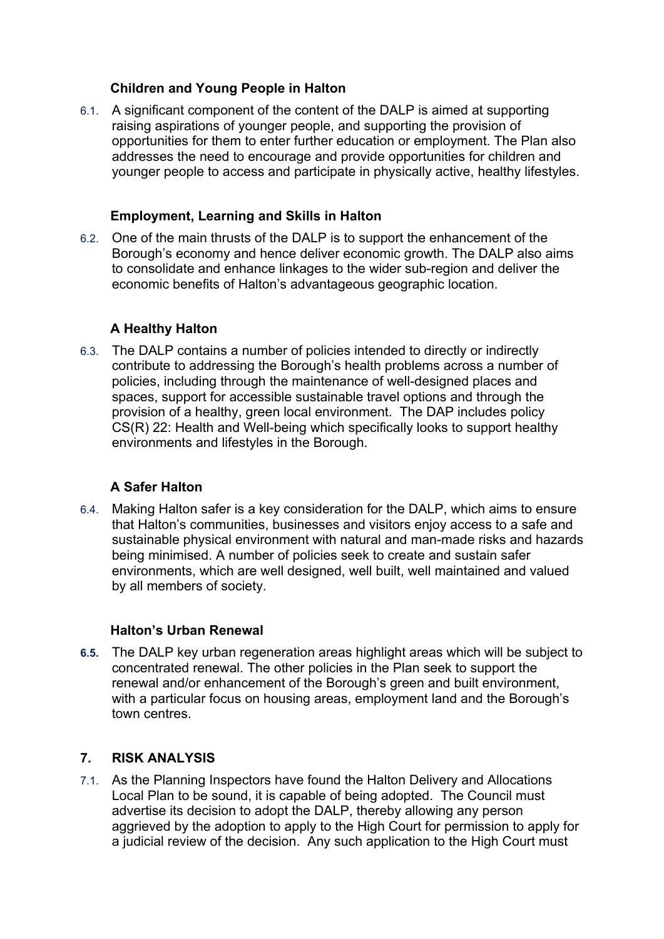### **Children and Young People in Halton**

6.1. A significant component of the content of the DALP is aimed at supporting raising aspirations of younger people, and supporting the provision of opportunities for them to enter further education or employment. The Plan also addresses the need to encourage and provide opportunities for children and younger people to access and participate in physically active, healthy lifestyles.

### **Employment, Learning and Skills in Halton**

6.2. One of the main thrusts of the DALP is to support the enhancement of the Borough's economy and hence deliver economic growth. The DALP also aims to consolidate and enhance linkages to the wider sub-region and deliver the economic benefits of Halton's advantageous geographic location.

# **A Healthy Halton**

6.3. The DALP contains a number of policies intended to directly or indirectly contribute to addressing the Borough's health problems across a number of policies, including through the maintenance of well-designed places and spaces, support for accessible sustainable travel options and through the provision of a healthy, green local environment. The DAP includes policy CS(R) 22: Health and Well-being which specifically looks to support healthy environments and lifestyles in the Borough.

# **A Safer Halton**

6.4. Making Halton safer is a key consideration for the DALP, which aims to ensure that Halton's communities, businesses and visitors enjoy access to a safe and sustainable physical environment with natural and man-made risks and hazards being minimised. A number of policies seek to create and sustain safer environments, which are well designed, well built, well maintained and valued by all members of society.

# **Halton's Urban Renewal**

**6.5.** The DALP key urban regeneration areas highlight areas which will be subject to concentrated renewal. The other policies in the Plan seek to support the renewal and/or enhancement of the Borough's green and built environment, with a particular focus on housing areas, employment land and the Borough's town centres.

# **7. RISK ANALYSIS**

7.1. As the Planning Inspectors have found the Halton Delivery and Allocations Local Plan to be sound, it is capable of being adopted. The Council must advertise its decision to adopt the DALP, thereby allowing any person aggrieved by the adoption to apply to the High Court for permission to apply for a judicial review of the decision. Any such application to the High Court must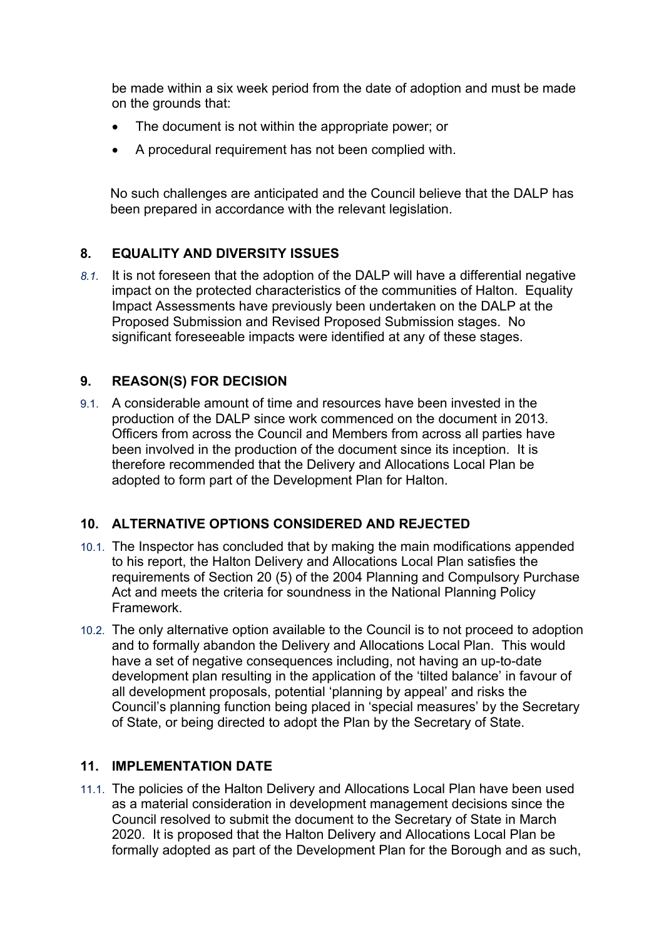be made within a six week period from the date of adoption and must be made on the grounds that:

- The document is not within the appropriate power; or
- A procedural requirement has not been complied with.

No such challenges are anticipated and the Council believe that the DALP has been prepared in accordance with the relevant legislation.

# **8. EQUALITY AND DIVERSITY ISSUES**

*8.1.* It is not foreseen that the adoption of the DALP will have a differential negative impact on the protected characteristics of the communities of Halton. Equality Impact Assessments have previously been undertaken on the DALP at the Proposed Submission and Revised Proposed Submission stages. No significant foreseeable impacts were identified at any of these stages.

# **9. REASON(S) FOR DECISION**

9.1. A considerable amount of time and resources have been invested in the production of the DALP since work commenced on the document in 2013. Officers from across the Council and Members from across all parties have been involved in the production of the document since its inception. It is therefore recommended that the Delivery and Allocations Local Plan be adopted to form part of the Development Plan for Halton.

# **10. ALTERNATIVE OPTIONS CONSIDERED AND REJECTED**

- 10.1. The Inspector has concluded that by making the main modifications appended to his report, the Halton Delivery and Allocations Local Plan satisfies the requirements of Section 20 (5) of the 2004 Planning and Compulsory Purchase Act and meets the criteria for soundness in the National Planning Policy Framework.
- 10.2. The only alternative option available to the Council is to not proceed to adoption and to formally abandon the Delivery and Allocations Local Plan. This would have a set of negative consequences including, not having an up-to-date development plan resulting in the application of the 'tilted balance' in favour of all development proposals, potential 'planning by appeal' and risks the Council's planning function being placed in 'special measures' by the Secretary of State, or being directed to adopt the Plan by the Secretary of State.

# **11. IMPLEMENTATION DATE**

11.1. The policies of the Halton Delivery and Allocations Local Plan have been used as a material consideration in development management decisions since the Council resolved to submit the document to the Secretary of State in March 2020. It is proposed that the Halton Delivery and Allocations Local Plan be formally adopted as part of the Development Plan for the Borough and as such,